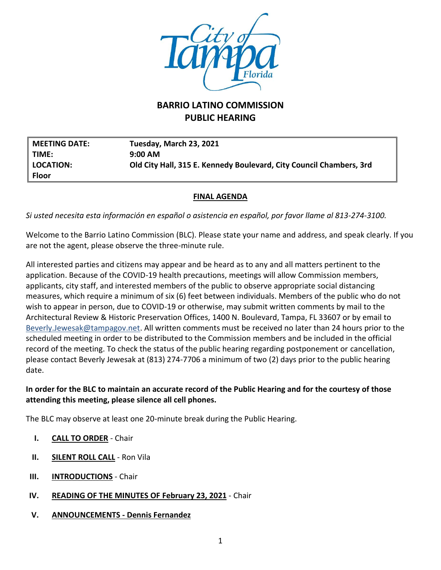

# **BARRIO LATINO COMMISSION PUBLIC HEARING**

**MEETING DATE: Tuesday, March 23, 2021 TIME: 9:00 AM LOCATION: Old City Hall, 315 E. Kennedy Boulevard, City Council Chambers, 3rd Floor**

## **FINAL AGENDA**

*Si usted necesita esta información en español o asistencia en español, por favor llame al 813-274-3100.*

Welcome to the Barrio Latino Commission (BLC). Please state your name and address, and speak clearly. If you are not the agent, please observe the three-minute rule.

All interested parties and citizens may appear and be heard as to any and all matters pertinent to the application. Because of the COVID-19 health precautions, meetings will allow Commission members, applicants, city staff, and interested members of the public to observe appropriate social distancing measures, which require a minimum of six (6) feet between individuals. Members of the public who do not wish to appear in person, due to COVID-19 or otherwise, may submit written comments by mail to the Architectural Review & Historic Preservation Offices, 1400 N. Boulevard, Tampa, FL 33607 or by email to [Beverly.Jewesak@tampagov.net.](mailto:Beverly.Jewesak@tampagov.net) All written comments must be received no later than 24 hours prior to the scheduled meeting in order to be distributed to the Commission members and be included in the official record of the meeting. To check the status of the public hearing regarding postponement or cancellation, please contact Beverly Jewesak at (813) 274-7706 a minimum of two (2) days prior to the public hearing date.

## **In order for the BLC to maintain an accurate record of the Public Hearing and for the courtesy of those attending this meeting, please silence all cell phones.**

The BLC may observe at least one 20-minute break during the Public Hearing.

- **I. CALL TO ORDER** Chair
- **II. SILENT ROLL CALL** Ron Vila
- **III. INTRODUCTIONS** Chair
- **IV. READING OF THE MINUTES OF February 23, 2021** Chair
- **V. ANNOUNCEMENTS - Dennis Fernandez**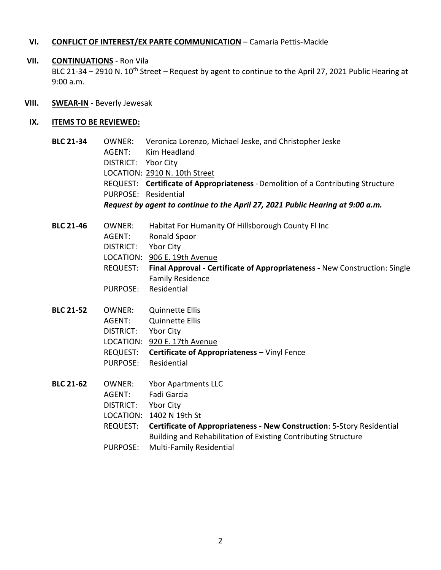### **VI. CONFLICT OF INTEREST/EX PARTE COMMUNICATION** – Camaria Pettis-Mackle

#### **VII. CONTINUATIONS** - Ron Vila

BLC 21-34 - 2910 N. 10<sup>th</sup> Street - Request by agent to continue to the April 27, 2021 Public Hearing at 9:00 a.m.

#### **VIII. SWEAR-IN** - Beverly Jewesak

#### **IX. ITEMS TO BE REVIEWED:**

- **BLC 21-34** OWNER: Veronica Lorenzo, Michael Jeske, and Christopher Jeske AGENT: Kim Headland DISTRICT: Ybor City LOCATION: 2910 N. 10th Street REQUEST: **Certificate of Appropriateness** -Demolition of a Contributing Structure PURPOSE: Residential *Request by agent to continue to the April 27, 2021 Public Hearing at 9:00 a.m.*
- **BLC 21-46** OWNER: Habitat For Humanity Of Hillsborough County Fl Inc
	- AGENT: Ronald Spoor
	- DISTRICT: Ybor City
	- LOCATION: 906 E. 19th Avenue
	- REQUEST: **Final Approval - Certificate of Appropriateness -** New Construction: Single Family Residence
	- PURPOSE: Residential
- **BLC 21-52** OWNER: Quinnette Ellis AGENT: Quinnette Ellis DISTRICT: Ybor City LOCATION: 920 E. 17th Avenue REQUEST: **Certificate of Appropriateness** – Vinyl Fence PURPOSE: Residential
- **BLC 21-62** OWNER: Ybor Apartments LLC AGENT: Fadi Garcia DISTRICT: Ybor City LOCATION: 1402 N 19th St REQUEST: **Certificate of Appropriateness** - **New Construction**: 5-Story Residential Building and Rehabilitation of Existing Contributing Structure PURPOSE: Multi-Family Residential